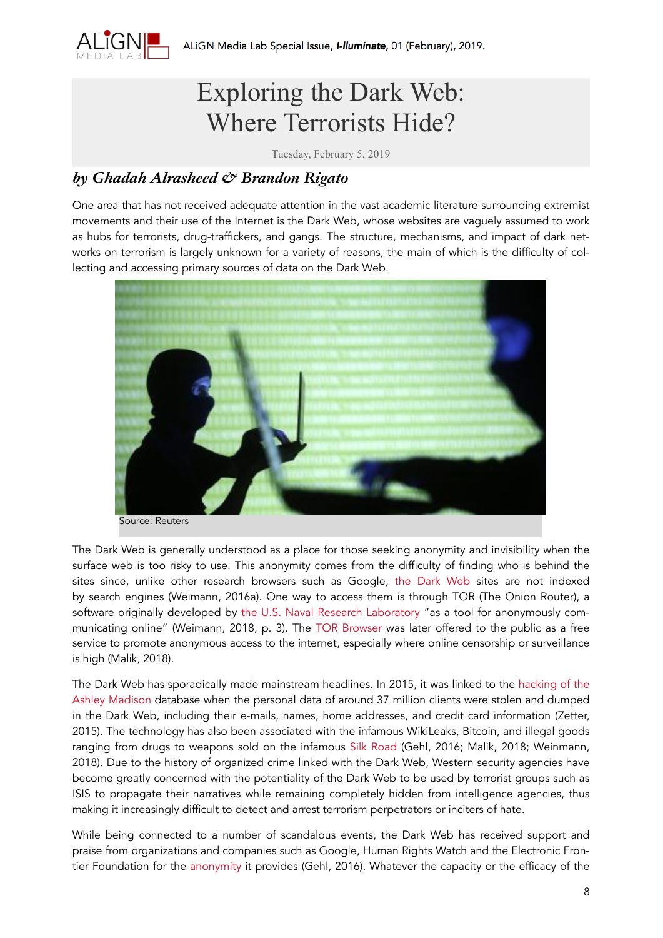

## Exploring the Dark Web: Where Terrorists Hide?

Tuesday, February 5, 2019

## *by Ghadah Alrasheed & [Brandon Rigato](https://carleton.ca/align/people/brandon-rigato-2/)*

One area that has not received adequate attention in the vast academic literature surrounding extremist movements and their use of the Internet is the Dark Web, whose websites are vaguely assumed to work as hubs for terrorists, drug-traffickers, and gangs. The structure, mechanisms, and impact of dark networks on terrorism is largely unknown for a variety of reasons, the main of which is the difficulty of collecting and accessing primary sources of data on the Dark Web.



The Dark Web is generally understood as a place for those seeking anonymity and invisibility when the surface web is too risky to use. This anonymity comes from the difficulty of finding who is behind the sites since, unlike other research browsers such as Google, [the Dark Web](https://www.techadvisor.co.uk/how-to/internet/dark-web-3593569/) sites are not indexed by search engines (Weimann, 2016a). One way to access them is through TOR (The Onion Router), a software originally developed by [the U.S. Naval Research Laboratory](https://www.nrl.navy.mil/) "as a tool for anonymously communicating online" (Weimann, 2018, p. 3). The [TOR Browser](https://www.torproject.org/) was later offered to the public as a free service to promote anonymous access to the internet, especially where online censorship or surveillance is high (Malik, 2018).

The Dark Web has sporadically made mainstream headlines. In 2015, it was linked to the [hacking of the](https://www.wired.com/2015/08/happened-hackers-posted-stolen-ashley-madison-data/)  [Ashley Madison](https://www.wired.com/2015/08/happened-hackers-posted-stolen-ashley-madison-data/) database when the personal data of around 37 million clients were stolen and dumped in the Dark Web, including their e-mails, names, home addresses, and credit card information (Zetter, 2015). The technology has also been associated with the infamous WikiLeaks, Bitcoin, and illegal goods ranging from drugs to weapons sold on the infamous [Silk Road](https://www.researchgate.net/publication/280025737_Powerfreedom_on_the_dark_web_A_digital_ethnography_of_the_Dark_Web_Social_Network) (Gehl, 2016; Malik, 2018; Weinmann, 2018). Due to the history of organized crime linked with the Dark Web, Western security agencies have become greatly concerned with the potentiality of the Dark Web to be used by terrorist groups such as ISIS to propagate their narratives while remaining completely hidden from intelligence agencies, thus making it increasingly difficult to detect and arrest terrorism perpetrators or inciters of hate.

While being connected to a number of scandalous events, the Dark Web has received support and praise from organizations and companies such as Google, Human Rights Watch and the Electronic Frontier Foundation for the [anonymity](https://www.researchgate.net/publication/280025737_Powerfreedom_on_the_dark_web_A_digital_ethnography_of_the_Dark_Web_Social_Network) it provides (Gehl, 2016). Whatever the capacity or the efficacy of the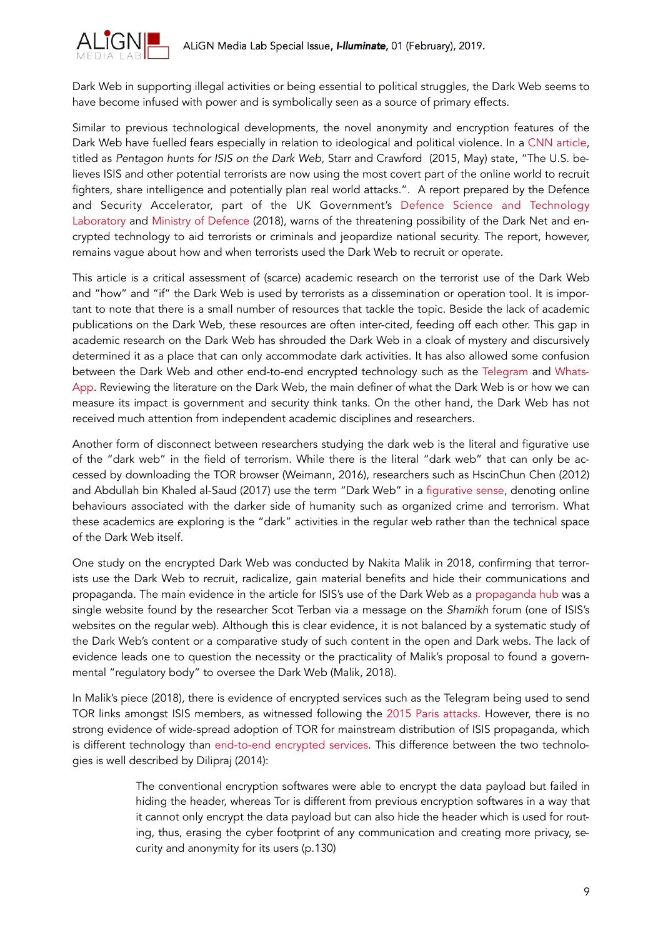

Dark Web in supporting illegal activities or being essential to political struggles, the Dark Web seems to have become infused with power and is symbolically seen as a source of primary effects.

Similar to previous technological developments, the novel anonymity and encryption features of the Dark Web have fuelled fears especially in relation to ideological and political violence. In a [CNN article,](https://www.cnn.com/2015/05/12/politics/pentagon-isis-dark-web-google-internet/index.html) titled as *Pentagon hunts for ISIS on the Dark Web,* Starr and Crawford (2015, May) state, "The U.S. believes ISIS and other potential terrorists are now using the most covert part of the online world to recruit fighters, share intelligence and potentially plan real world attacks."*.* A report prepared by the Defence and Security Accelerator, part of the UK Government's [Defence Science and Technology](https://www.gov.uk/government/organisations/defence-science-and-technology-laboratory)  [Laboratory](https://www.gov.uk/government/organisations/defence-science-and-technology-laboratory) and [Ministry of Defence](https://www.gov.uk/government/organisations/ministry-of-defence) (2018), warns of the threatening possibility of the Dark Net and encrypted technology to aid terrorists or criminals and jeopardize national security. The report, however, remains vague about how and when terrorists used the Dark Web to recruit or operate.

This article is a critical assessment of (scarce) academic research on the terrorist use of the Dark Web and "how" and "if" the Dark Web is used by terrorists as a dissemination or operation tool. It is important to note that there is a small number of resources that tackle the topic. Beside the lack of academic publications on the Dark Web, these resources are often inter-cited, feeding off each other. This gap in academic research on the Dark Web has shrouded the Dark Web in a cloak of mystery and discursively determined it as a place that can only accommodate dark activities. It has also allowed some confusion between the Dark Web and other end-to-end encrypted technology such as the [Telegram](https://telegram.org/) and [Whats](https://www.whatsapp.com/)-[App](https://www.whatsapp.com/). Reviewing the literature on the Dark Web, the main definer of what the Dark Web is or how we can measure its impact is government and security think tanks. On the other hand, the Dark Web has not received much attention from independent academic disciplines and researchers.

Another form of disconnect between researchers studying the dark web is the literal and figurative use of the "dark web" in the field of terrorism. While there is the literal "dark web" that can only be accessed by downloading the TOR browser (Weimann, 2016), researchers such as HscinChun Chen (2012) and Abdullah bin Khaled al-Saud (2017) use the term "Dark Web" in a [figurative sense,](https://www.springer.com/gp/book/9781461415565) denoting online behaviours associated with the darker side of humanity such as organized crime and terrorism. What these academics are exploring is the "dark" activities in the regular web rather than the technical space of the Dark Web itself.

One study on the encrypted Dark Web was conducted by Nakita Malik in 2018, confirming that terrorists use the Dark Web to recruit, radicalize, gain material benefits and hide their communications and propaganda. The main evidence in the article for ISIS's use of the Dark Web as a [propaganda hub](http://henryjacksonsociety.org/wp-content/uploads/2018/04/Terror-in-the-Dark.pdf) was a single website found by the researcher Scot Terban via a message on the *Shamikh* forum (one of ISIS's websites on the regular web). Although this is clear evidence, it is not balanced by a systematic study of the Dark Web's content or a comparative study of such content in the open and Dark webs. The lack of evidence leads one to question the necessity or the practicality of Malik's proposal to found a governmental "regulatory body" to oversee the Dark Web (Malik, 2018).

In Malik's piece (2018), there is evidence of encrypted services such as the Telegram being used to send TOR links amongst ISIS members, as witnessed following the [2015 Paris attacks.](https://www.cnn.com/2015/12/08/europe/2015-paris-terror-attacks-fast-facts/index.html) However, there is no strong evidence of wide-spread adoption of TOR for mainstream distribution of ISIS propaganda, which is different technology than [end-to-end encrypted services.](http://www.academia.edu/9622433/TERROR_IN_THE_DEEP_AND_DARK_WEB) This difference between the two technologies is well described by Dilipraj (2014):

> The conventional encryption softwares were able to encrypt the data payload but failed in hiding the header, whereas Tor is different from previous encryption softwares in a way that it cannot only encrypt the data payload but can also hide the header which is used for routing, thus, erasing the cyber footprint of any communication and creating more privacy, security and anonymity for its users (p.130)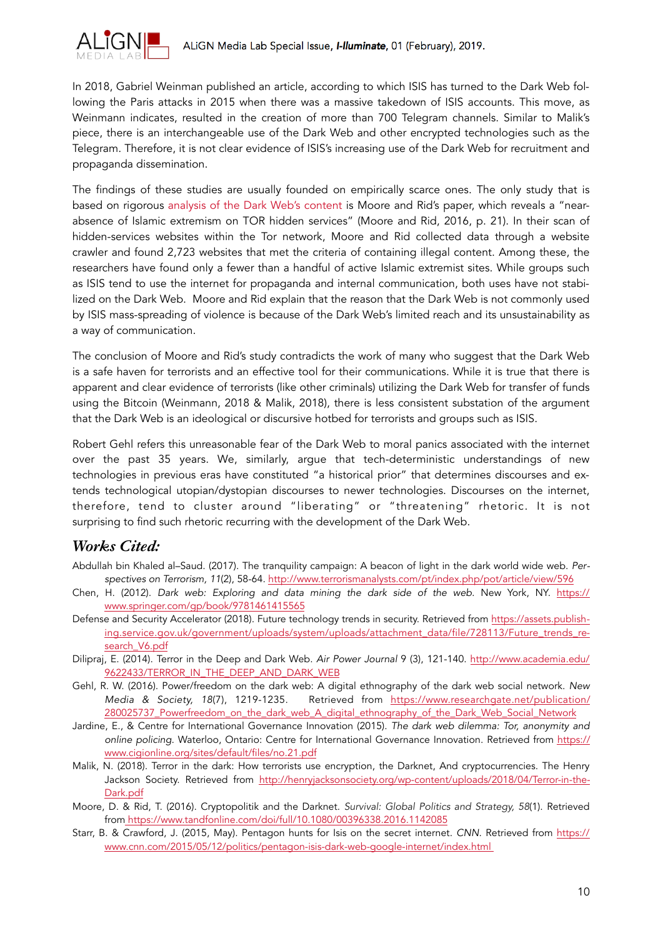

In 2018, Gabriel Weinman published an article, according to which ISIS has turned to the Dark Web following the Paris attacks in 2015 when there was a massive takedown of ISIS accounts. This move, as Weinmann indicates, resulted in the creation of more than 700 Telegram channels. Similar to Malik's piece, there is an interchangeable use of the Dark Web and other encrypted technologies such as the Telegram. Therefore, it is not clear evidence of ISIS's increasing use of the Dark Web for recruitment and propaganda dissemination.

The findings of these studies are usually founded on empirically scarce ones. The only study that is based on rigorous [analysis of the Dark Web's content](https://www.tandfonline.com/doi/full/10.1080/00396338.2016.1142085) is Moore and Rid's paper, which reveals a "nearabsence of Islamic extremism on TOR hidden services" (Moore and Rid, 2016, p. 21). In their scan of hidden-services websites within the Tor network, Moore and Rid collected data through a website crawler and found 2,723 websites that met the criteria of containing illegal content. Among these, the researchers have found only a fewer than a handful of active Islamic extremist sites. While groups such as ISIS tend to use the internet for propaganda and internal communication, both uses have not stabilized on the Dark Web. Moore and Rid explain that the reason that the Dark Web is not commonly used by ISIS mass-spreading of violence is because of the Dark Web's limited reach and its unsustainability as a way of communication.

The conclusion of Moore and Rid's study contradicts the work of many who suggest that the Dark Web is a safe haven for terrorists and an effective tool for their communications. While it is true that there is apparent and clear evidence of terrorists (like other criminals) utilizing the Dark Web for transfer of funds using the Bitcoin (Weinmann, 2018 & Malik, 2018), there is less consistent substation of the argument that the Dark Web is an ideological or discursive hotbed for terrorists and groups such as ISIS.

Robert Gehl refers this unreasonable fear of the Dark Web to moral panics associated with the internet over the past 35 years. We, similarly, argue that tech-deterministic understandings of new technologies in previous eras have constituted "a historical prior" that determines discourses and extends technological utopian/dystopian discourses to newer technologies. Discourses on the internet, therefore, tend to cluster around "liberating" or "threatening" rhetoric. It is not surprising to find such rhetoric recurring with the development of the Dark Web.

## *Works Cited:*

- Abdullah bin Khaled al–Saud. (2017). The tranquility campaign: A beacon of light in the dark world wide web. *Perspectives on Terrorism, 11*(2), 58-64. <http://www.terrorismanalysts.com/pt/index.php/pot/article/view/596>
- Chen, H. (2012). *Dark web: Exploring and data mining the dark side of the web.* New York, NY. [https://](https://www.springer.com/gp/book/9781461415565) [www.springer.com/gp/book/9781461415565](https://www.springer.com/gp/book/9781461415565)
- Defense and Security Accelerator (2018). Future technology trends in security. Retrieved from [https://assets.publish](https://assets.publishing.service.gov.uk/government/uploads/system/uploads/attachment_data/file/728113/Future_trends_research_V6.pdf)[ing.service.gov.uk/government/uploads/system/uploads/attachment\\_data/file/728113/Future\\_trends\\_re](https://assets.publishing.service.gov.uk/government/uploads/system/uploads/attachment_data/file/728113/Future_trends_research_V6.pdf)[search\\_V6.pdf](https://assets.publishing.service.gov.uk/government/uploads/system/uploads/attachment_data/file/728113/Future_trends_research_V6.pdf)
- Dilipraj, E. (2014). Terror in the Deep and Dark Web. *Air Power Journal* 9 (3), 121-140. [http://www.academia.edu/](http://www.academia.edu/9622433/TERROR_IN_THE_DEEP_AND_DARK_WEB) [9622433/TERROR\\_IN\\_THE\\_DEEP\\_AND\\_DARK\\_WEB](http://www.academia.edu/9622433/TERROR_IN_THE_DEEP_AND_DARK_WEB)
- Gehl, R. W. (2016). Power/freedom on the dark web: A digital ethnography of the dark web social network. *New Media & Society, 18*(7), 1219-1235. Retrieved from [https://www.researchgate.net/publication/](https://www.researchgate.net/publication/280025737_Powerfreedom_on_the_dark_web_A_digital_ethnography_of_the_Dark_Web_Social_Network) [280025737\\_Powerfreedom\\_on\\_the\\_dark\\_web\\_A\\_digital\\_ethnography\\_of\\_the\\_Dark\\_Web\\_Social\\_Network](https://www.researchgate.net/publication/280025737_Powerfreedom_on_the_dark_web_A_digital_ethnography_of_the_Dark_Web_Social_Network)
- Jardine, E., & Centre for International Governance Innovation (2015). *The dark web dilemma: Tor, anonymity and online policing*. Waterloo, Ontario: Centre for International Governance Innovation. Retrieved from [https://](https://www.cigionline.org/sites/default/files/no.21.pdf) [www.cigionline.org/sites/default/files/no.21.pdf](https://www.cigionline.org/sites/default/files/no.21.pdf)
- Malik, N. (2018). Terror in the dark: How terrorists use encryption, the Darknet, And cryptocurrencies. The Henry Jackson Society. Retrieved from [http://henryjacksonsociety.org/wp-content/uploads/2018/04/Terror-in-the-](http://henryjacksonsociety.org/wp-content/uploads/2018/04/Terror-in-the-Dark.pdf)[Dark.pdf](http://henryjacksonsociety.org/wp-content/uploads/2018/04/Terror-in-the-Dark.pdf)
- Moore, D. & Rid, T. (2016). Cryptopolitik and the Darknet. *Survival: Global Politics and Strategy, 58*(1). Retrieved from <https://www.tandfonline.com/doi/full/10.1080/00396338.2016.1142085>
- Starr, B. & Crawford, J. (2015, May). Pentagon hunts for Isis on the secret internet. *CNN*. Retrieved from [https://](https://www.cnn.com/2015/05/12/politics/pentagon-isis-dark-web-google-internet/index.html) [www.cnn.com/2015/05/12/politics/pentagon-isis-dark-web-google-internet/index.html](https://www.cnn.com/2015/05/12/politics/pentagon-isis-dark-web-google-internet/index.html)